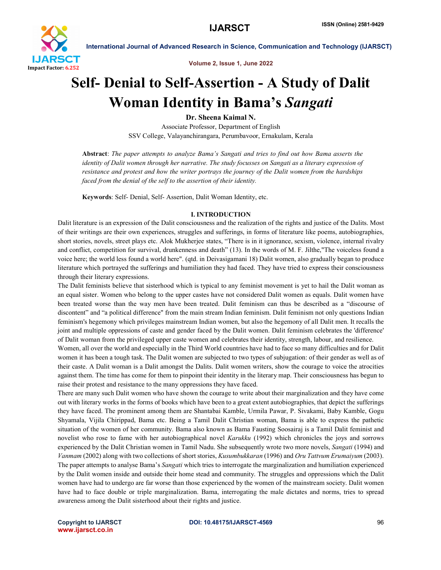

Volume 2, Issue 1, June 2022

# Self- Denial to Self-Assertion - A Study of Dalit Woman Identity in Bama's *Sangati*

Dr. Sheena Kaimal N. Associate Professor, Department of English SSV College, Valayanchirangara, Perumbavoor, Ernakulam, Kerala

Abstract: *The paper attempts to analyze Bama's Sangati and tries to find out how Bama asserts the identity of Dalit women through her narrative. The study focusses on Sangati as a literary expression of resistance and protest and how the writer portrays the journey of the Dalit women from the hardships faced from the denial of the self to the assertion of their identity.*

Keywords: Self- Denial, Self- Assertion, Dalit Woman Identity, etc.

# I. INTRODUCTION

Dalit literature is an expression of the Dalit consciousness and the realization of the rights and justice of the Dalits. Most of their writings are their own experiences, struggles and sufferings, in forms of literature like poems, autobiographies, short stories, novels, street plays etc. Alok Mukherjee states, "There is in it ignorance, sexism, violence, internal rivalry and conflict, competition for survival, drunkenness and death" (13). In the words of M. F. Jilthe,"The voiceless found a voice here; the world less found a world here". (qtd. in Deivasigamani 18) Dalit women, also gradually began to produce literature which portrayed the sufferings and humiliation they had faced. They have tried to express their consciousness through their literary expressions.

The Dalit feminists believe that sisterhood which is typical to any feminist movement is yet to hail the Dalit woman as an equal sister. Women who belong to the upper castes have not considered Dalit women as equals. Dalit women have been treated worse than the way men have been treated. Dalit feminism can thus be described as a "discourse of discontent" and "a political difference" from the main stream Indian feminism. Dalit feminism not only questions Indian feminism's hegemony which privileges mainstream Indian women, but also the hegemony of all Dalit men. It recalls the joint and multiple oppressions of caste and gender faced by the Dalit women. Dalit feminism celebrates the 'difference' of Dalit woman from the privileged upper caste women and celebrates their identity, strength, labour, and resilience.

Women, all over the world and especially in the Third World countries have had to face so many difficulties and for Dalit women it has been a tough task. The Dalit women are subjected to two types of subjugation: of their gender as well as of their caste. A Dalit woman is a Dalit amongst the Dalits. Dalit women writers, show the courage to voice the atrocities against them. The time has come for them to pinpoint their identity in the literary map. Their consciousness has begun to raise their protest and resistance to the many oppressions they have faced.

There are many such Dalit women who have shown the courage to write about their marginalization and they have come out with literary works in the forms of books which have been to a great extent autobiographies, that depict the sufferings they have faced. The prominent among them are Shantabai Kamble, Urmila Pawar, P. Sivakami, Baby Kamble, Gogu Shyamala, Vijila Chirippad, Bama etc. Being a Tamil Dalit Christian woman, Bama is able to express the pathetic situation of the women of her community. Bama also known as Bama Fausting Soosairaj is a Tamil Dalit feminist and novelist who rose to fame with her autobiographical novel *Karukku* (1992) which chronicles the joys and sorrows experienced by the Dalit Christian women in Tamil Nadu. She subsequently wrote two more novels, *Sangati* (1994) and *Vanmam* (2002) along with two collections of short stories, *Kusumbukkaran* (1996) and *Oru Tattvum Erumaiyum* (2003). The paper attempts to analyse Bama's *Sangati* which tries to interrogate the marginalization and humiliation experienced by the Dalit women inside and outside their home stead and community. The struggles and oppressions which the Dalit women have had to undergo are far worse than those experienced by the women of the mainstream society. Dalit women have had to face double or triple marginalization. Bama, interrogating the male dictates and norms, tries to spread awareness among the Dalit sisterhood about their rights and justice.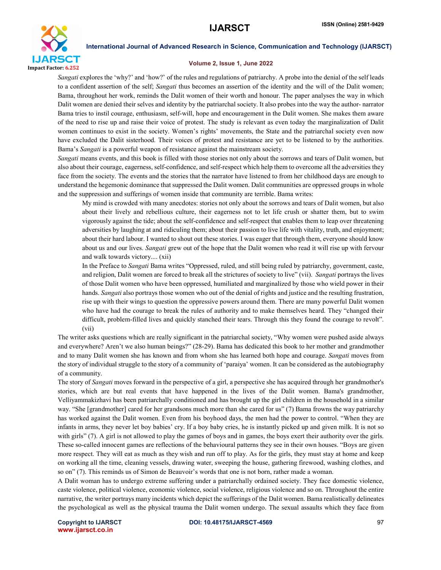

# Volume 2, Issue 1, June 2022

*Sangati* explores the 'why?' and 'how?' of the rules and regulations of patriarchy. A probe into the denial of the self leads to a confident assertion of the self; *Sangati* thus becomes an assertion of the identity and the will of the Dalit women; Bama, throughout her work, reminds the Dalit women of their worth and honour. The paper analyses the way in which Dalit women are denied their selves and identity by the patriarchal society. It also probes into the way the author- narrator Bama tries to instil courage, enthusiasm, self-will, hope and encouragement in the Dalit women. She makes them aware of the need to rise up and raise their voice of protest. The study is relevant as even today the marginalization of Dalit women continues to exist in the society. Women's rights' movements, the State and the patriarchal society even now have excluded the Dalit sisterhood. Their voices of protest and resistance are yet to be listened to by the authorities. Bama's *Sangati* is a powerful weapon of resistance against the mainstream society.

*Sangati* means events, and this book is filled with those stories not only about the sorrows and tears of Dalit women, but also about their courage, eagerness, self-confidence, and self-respect which help them to overcome all the adversities they face from the society. The events and the stories that the narrator have listened to from her childhood days are enough to understand the hegemonic dominance that suppressed the Dalit women. Dalit communities are oppressed groups in whole and the suppression and sufferings of women inside that community are terrible. Bama writes:

My mind is crowded with many anecdotes: stories not only about the sorrows and tears of Dalit women, but also about their lively and rebellious culture, their eagerness not to let life crush or shatter them, but to swim vigorously against the tide; about the self-confidence and self-respect that enables them to leap over threatening adversities by laughing at and ridiculing them; about their passion to live life with vitality, truth, and enjoyment; about their hard labour. I wanted to shout out these stories. I was eager that through them, everyone should know about us and our lives. *Sangati* grew out of the hope that the Dalit women who read it will rise up with fervour and walk towards victory.... (xii)

In the Preface to *Sangati* Bama writes "Oppressed, ruled, and still being ruled by patriarchy, government, caste, and religion, Dalit women are forced to break all the strictures of society to live" (vii). *Sangati* portrays the lives of those Dalit women who have been oppressed, humiliated and marginalized by those who wield power in their hands. *Sangati* also portrays those women who out of the denial of rights and justice and the resulting frustration, rise up with their wings to question the oppressive powers around them. There are many powerful Dalit women who have had the courage to break the rules of authority and to make themselves heard. They "changed their difficult, problem-filled lives and quickly stanched their tears. Through this they found the courage to revolt". (vii)

The writer asks questions which are really significant in the patriarchal society, "Why women were pushed aside always and everywhere? Aren't we also human beings?" (28-29). Bama has dedicated this book to her mother and grandmother and to many Dalit women she has known and from whom she has learned both hope and courage. *Sangati* moves from the story of individual struggle to the story of a community of 'paraiya' women. It can be considered as the autobiography of a community.

The story of *Sangati* moves forward in the perspective of a girl, a perspective she has acquired through her grandmother's stories, which are but real events that have happened in the lives of the Dalit women. Bama's grandmother, Velliyammakizhavi has been patriarchally conditioned and has brought up the girl children in the household in a similar way. "She [grandmother] cared for her grandsons much more than she cared for us" (7) Bama frowns the way patriarchy has worked against the Dalit women. Even from his boyhood days, the men had the power to control. "When they are infants in arms, they never let boy babies' cry. If a boy baby cries, he is instantly picked up and given milk. It is not so with girls" (7). A girl is not allowed to play the games of boys and in games, the boys exert their authority over the girls. These so-called innocent games are reflections of the behavioural patterns they see in their own houses. "Boys are given more respect. They will eat as much as they wish and run off to play. As for the girls, they must stay at home and keep on working all the time, cleaning vessels, drawing water, sweeping the house, gathering firewood, washing clothes, and so on" (7). This reminds us of Simon de Beauvoir's words that one is not born, rather made a woman.

A Dalit woman has to undergo extreme suffering under a patriarchally ordained society. They face domestic violence, caste violence, political violence, economic violence, social violence, religious violence and so on. Throughout the entire narrative, the writer portrays many incidents which depict the sufferings of the Dalit women. Bama realistically delineates the psychological as well as the physical trauma the Dalit women undergo. The sexual assaults which they face from

www.ijarsct.co.in

Copyright to IJARSCT **DOI: 10.48175/IJARSCT-4569** 97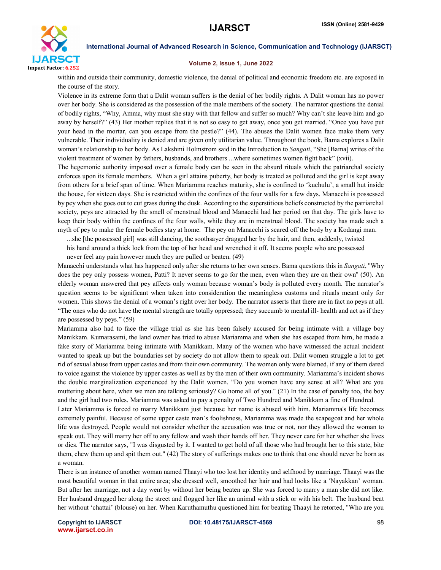

# Volume 2, Issue 1, June 2022

within and outside their community, domestic violence, the denial of political and economic freedom etc. are exposed in the course of the story.

Violence in its extreme form that a Dalit woman suffers is the denial of her bodily rights. A Dalit woman has no power over her body. She is considered as the possession of the male members of the society. The narrator questions the denial of bodily rights, "Why, Amma, why must she stay with that fellow and suffer so much? Why can't she leave him and go away by herself?" (43) Her mother replies that it is not so easy to get away, once you get married. "Once you have put your head in the mortar, can you escape from the pestle?" (44). The abuses the Dalit women face make them very vulnerable. Their individuality is denied and are given only utilitarian value. Throughout the book, Bama explores a Dalit woman's relationship to her body. As Lakshmi Holmstrom said in the Introduction to *Sangati*, "She [Bama] writes of the violent treatment of women by fathers, husbands, and brothers ...where sometimes women fight back" (xvii).

The hegemonic authority imposed over a female body can be seen in the absurd rituals which the patriarchal society enforces upon its female members. When a girl attains puberty, her body is treated as polluted and the girl is kept away from others for a brief span of time. When Mariamma reaches maturity, she is confined to 'kuchulu', a small hut inside the house, for sixteen days. She is restricted within the confines of the four walls for a few days. Manacchi is possessed by pey when she goes out to cut grass during the dusk. According to the superstitious beliefs constructed by the patriarchal society, peys are attracted by the smell of menstrual blood and Manacchi had her period on that day. The girls have to keep their body within the confines of the four walls, while they are in menstrual blood. The society has made such a myth of pey to make the female bodies stay at home. The pey on Manacchi is scared off the body by a Kodangi man.

...she [the possessed girl] was still dancing, the soothsayer dragged her by the hair, and then, suddenly, twisted his hand around a thick lock from the top of her head and wrenched it off. It seems people who are possessed never feel any pain however much they are pulled or beaten. (49)

Manacchi understands what has happened only after she returns to her own senses. Bama questions this in *Sangati*, ''Why does the pey only possess women, Patti? It never seems to go for the men, even when they are on their own" (50). An elderly woman answered that pey affects only woman because woman's body is polluted every month. The narrator's question seems to be significant when taken into consideration the meaningless customs and rituals meant only for women. This shows the denial of a woman's right over her body. The narrator asserts that there are in fact no peys at all. "The ones who do not have the mental strength are totally oppressed; they succumb to mental ill- health and act as if they are possessed by peys." (59)

Mariamma also had to face the village trial as she has been falsely accused for being intimate with a village boy Manikkam. Kumarasami, the land owner has tried to abuse Mariamma and when she has escaped from him, he made a fake story of Mariamma being intimate with Manikkam. Many of the women who have witnessed the actual incident wanted to speak up but the boundaries set by society do not allow them to speak out. Dalit women struggle a lot to get rid of sexual abuse from upper castes and from their own community. The women only were blamed, if any of them dared to voice against the violence by upper castes as well as by the men of their own community. Mariamma's incident shows the double marginalization experienced by the Dalit women. "Do you women have any sense at all? What are you muttering about here, when we men are talking seriously? Go home all of you." (21) In the case of penalty too, the boy and the girl had two rules. Mariamma was asked to pay a penalty of Two Hundred and Manikkam a fine of Hundred.

Later Mariamma is forced to marry Manikkam just because her name is abused with him. Mariamma's life becomes extremely painful. Because of some upper caste man's foolishness, Mariamma was made the scapegoat and her whole life was destroyed. People would not consider whether the accusation was true or not, nor they allowed the woman to speak out. They will marry her off to any fellow and wash their hands off her. They never care for her whether she lives or dies. The narrator says, "I was disgusted by it. I wanted to get hold of all those who had brought her to this state, bite them, chew them up and spit them out." (42) The story of sufferings makes one to think that one should never be born as a woman.

There is an instance of another woman named Thaayi who too lost her identity and selfhood by marriage. Thaayi was the most beautiful woman in that entire area; she dressed well, smoothed her hair and had looks like a 'Nayakkan' woman. But after her marriage, not a day went by without her being beaten up. She was forced to marry a man she did not like. Her husband dragged her along the street and flogged her like an animal with a stick or with his belt. The husband beat her without 'chattai' (blouse) on her. When Karuthamuthu questioned him for beating Thaayi he retorted, "Who are you

www.ijarsct.co.in